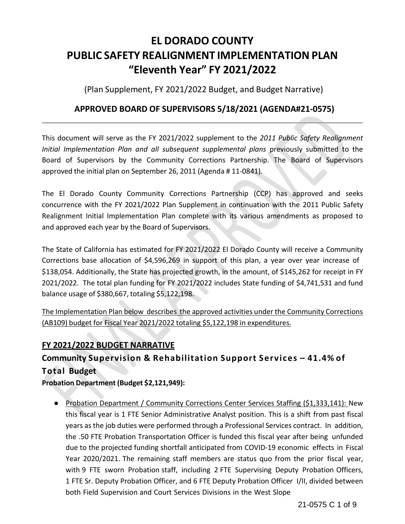# **EL DORADO COUNTY PUBLIC SAFETY REALIGNMENT IMPLEMENTATION PLAN "Eleventh Year" FY 2021/2022**

(Plan Supplement, FY 2021/2022 Budget, and Budget Narrative)

# **APPROVED BOARD OF SUPERVISORS 5/18/2021 (AGENDA#21-0575)**

This document will serve as the FY 2021/2022 supplement to the *2011 Public Safety Realignment Initial Implementation Plan and all subsequent supplemental plans* previously submitted to the Board of Supervisors by the Community Corrections Partnership. The Board of Supervisors approved the initial plan on September 26, 2011 (Agenda # 11-0841).

The El Dorado County Community Corrections Partnership (CCP) has approved and seeks concurrence with the FY 2021/2022 Plan Supplement in continuation with the 2011 Public Safety Realignment Initial Implementation Plan complete with its various amendments as proposed to and approved each year by the Board of Supervisors.

The State of California has estimated for FY 2021/2022 El Dorado County will receive a Community Corrections base allocation of \$4,596,269 in support of this plan, a year over year increase of \$138,054. Additionally, the State has projected growth, in the amount, of \$145,262 for receipt in FY 2021/2022. The total plan funding for FY 2021/2022 includes State funding of \$4,741,531 and fund balance usage of \$380,667, totaling \$5,122,198.

The Implementation Plan below describes the approved activities under the Community Corrections (AB109) budget for Fiscal Year 2021/2022 totaling \$5,122,198 in expenditures.

# **FY 2021/2022 BUDGET NARRATIVE**

# **Community Supervision & Rehabilitation Support Services – 41.4% of Total Budget**

**Probation Department (Budget \$2,121,949):**

● Probation Department / Community Corrections Center Services Staffing (\$1,333,141): New this fiscal year is 1 FTE Senior Administrative Analyst position. This is a shift from past fiscal years as the job duties were performed through a Professional Services contract. In addition, the .50 FTE Probation Transportation Officer is funded this fiscal year after being unfunded due to the projected funding shortfall anticipated from COVID-19 economic effects in Fiscal Year 2020/2021. The remaining staff members are status quo from the prior fiscal year, with 9 FTE sworn Probation staff, including 2 FTE Supervising Deputy Probation Officers, 1 FTE Sr. Deputy Probation Officer, and 6 FTE Deputy Probation Officer I/II, divided between both Field Supervision and Court Services Divisions in the West Slope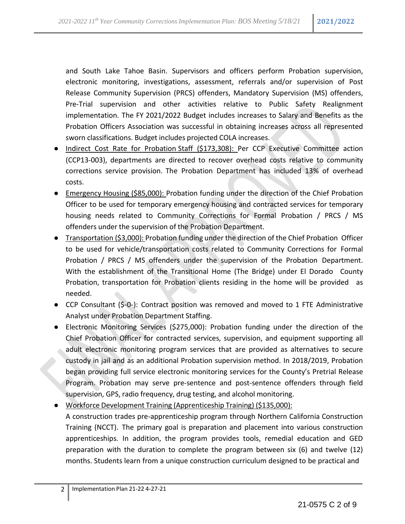and South Lake Tahoe Basin. Supervisors and officers perform Probation supervision, electronic monitoring, investigations, assessment, referrals and/or supervision of Post Release Community Supervision (PRCS) offenders, Mandatory Supervision (MS) offenders, Pre-Trial supervision and other activities relative to Public Safety Realignment implementation. The FY 2021/2022 Budget includes increases to Salary and Benefits as the Probation Officers Association was successful in obtaining increases across all represented sworn classifications. Budget includes projected COLA increases.

- Indirect Cost Rate for Probation Staff (\$173,308): Per CCP Executive Committee action (CCP13-003), departments are directed to recover overhead costs relative to community corrections service provision. The Probation Department has included 13% of overhead costs.
- Emergency Housing (\$85,000): Probation funding under the direction of the Chief Probation Officer to be used for temporary emergency housing and contracted services for temporary housing needs related to Community Corrections for Formal Probation / PRCS / MS offenders under the supervision of the Probation Department.
- Transportation (\$3,000): Probation funding under the direction of the Chief Probation Officer to be used for vehicle/transportation costs related to Community Corrections for Formal Probation / PRCS / MS offenders under the supervision of the Probation Department. With the establishment of the Transitional Home (The Bridge) under El Dorado County Probation, transportation for Probation clients residing in the home will be provided as needed.
- CCP Consultant (\$-0-): Contract position was removed and moved to 1 FTE Administrative Analyst under Probation Department Staffing.
- Electronic Monitoring Services (\$275,000): Probation funding under the direction of the Chief Probation Officer for contracted services, supervision, and equipment supporting all adult electronic monitoring program services that are provided as alternatives to secure custody in jail and as an additional Probation supervision method. In 2018/2019, Probation began providing full service electronic monitoring services for the County's Pretrial Release Program. Probation may serve pre-sentence and post-sentence offenders through field supervision, GPS, radio frequency, drug testing, and alcohol monitoring.
- Workforce Development Training (Apprenticeship Training) (\$135,000): A construction trades pre-apprenticeship program through Northern California Construction Training (NCCT). The primary goal is preparation and placement into various construction apprenticeships. In addition, the program provides tools, remedial education and GED preparation with the duration to complete the program between six (6) and twelve (12) months. Students learn from a unique construction curriculum designed to be practical and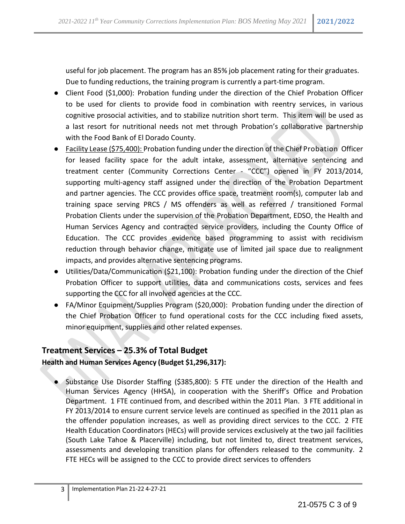useful for job placement. The program has an 85% job placement rating for their graduates. Due to funding reductions, the training program is currently a part-time program.

- Client Food (\$1,000): Probation funding under the direction of the Chief Probation Officer to be used for clients to provide food in combination with reentry services, in various cognitive prosocial activities, and to stabilize nutrition short term. This item will be used as a last resort for nutritional needs not met through Probation's collaborative partnership with the Food Bank of El Dorado County.
- Facility Lease (\$75,400): Probation funding under the direction of the Chief Probation Officer for leased facility space for the adult intake, assessment, alternative sentencing and treatment center (Community Corrections Center - "CCC") opened in FY 2013/2014, supporting multi-agency staff assigned under the direction of the Probation Department and partner agencies. The CCC provides office space, treatment room(s), computer lab and training space serving PRCS / MS offenders as well as referred / transitioned Formal Probation Clients under the supervision of the Probation Department, EDSO, the Health and Human Services Agency and contracted service providers, including the County Office of Education. The CCC provides evidence based programming to assist with recidivism reduction through behavior change, mitigate use of limited jail space due to realignment impacts, and provides alternative sentencing programs.
- Utilities/Data/Communication (\$21,100): Probation funding under the direction of the Chief Probation Officer to support utilities, data and communications costs, services and fees supporting the CCC for all involved agencies at the CCC.
- FA/Minor Equipment/Supplies Program (\$20,000): Probation funding under the direction of the Chief Probation Officer to fund operational costs for the CCC including fixed assets, minor equipment, supplies and other related expenses.

### **Treatment Services – 25.3% of Total Budget**

#### **Health and Human Services Agency (Budget \$1,296,317):**

Substance Use Disorder Staffing (\$385,800): 5 FTE under the direction of the Health and Human Services Agency (HHSA), in cooperation with the Sheriff's Office and Probation Department. 1 FTE continued from, and described within the 2011 Plan. 3 FTE additional in FY 2013/2014 to ensure current service levels are continued as specified in the 2011 plan as the offender population increases, as well as providing direct services to the CCC. 2 FTE Health Education Coordinators (HECs) will provide services exclusively at the two jail facilities (South Lake Tahoe & Placerville) including, but not limited to, direct treatment services, assessments and developing transition plans for offenders released to the community. 2 FTE HECs will be assigned to the CCC to provide direct services to offenders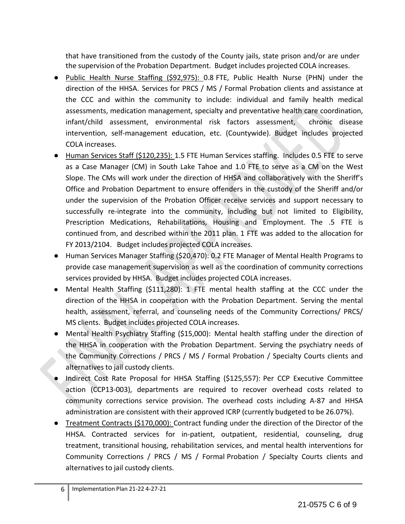that have transitioned from the custody of the County jails, state prison and/or are under the supervision of the Probation Department. Budget includes projected COLA increases.

- Public Health Nurse Staffing (\$92,975): 0.8 FTE, Public Health Nurse (PHN) under the direction of the HHSA. Services for PRCS / MS / Formal Probation clients and assistance at the CCC and within the community to include: individual and family health medical assessments, medication management, specialty and preventative health care coordination, infant/child assessment, environmental risk factors assessment, chronic disease intervention, self-management education, etc. (Countywide). Budget includes projected COLA increases.
- Human Services Staff (\$120,235): 1.5 FTE Human Services staffing. Includes 0.5 FTE to serve as a Case Manager (CM) in South Lake Tahoe and 1.0 FTE to serve as a CM on the West Slope. The CMs will work under the direction of HHSA and collaboratively with the Sheriff's Office and Probation Department to ensure offenders in the custody of the Sheriff and/or under the supervision of the Probation Officer receive services and support necessary to successfully re-integrate into the community, including but not limited to Eligibility, Prescription Medications, Rehabilitations, Housing and Employment. The .5 FTE is continued from, and described within the 2011 plan. 1 FTE was added to the allocation for FY 2013/2104. Budget includes projected COLA increases.
- Human Services Manager Staffing (\$20,470): 0.2 FTE Manager of Mental Health Programs to provide case management supervision as well as the coordination of community corrections services provided by HHSA. Budget includes projected COLA increases.
- Mental Health Staffing (\$111,280): 1 FTE mental health staffing at the CCC under the direction of the HHSA in cooperation with the Probation Department. Serving the mental health, assessment, referral, and counseling needs of the Community Corrections/ PRCS/ MS clients. Budget includes projected COLA increases.
- Mental Health Psychiatry Staffing (\$15,000): Mental health staffing under the direction of the HHSA in cooperation with the Probation Department. Serving the psychiatry needs of the Community Corrections / PRCS / MS / Formal Probation / Specialty Courts clients and alternatives to jail custody clients.
- Indirect Cost Rate Proposal for HHSA Staffing (\$125,557): Per CCP Executive Committee action (CCP13-003), departments are required to recover overhead costs related to community corrections service provision. The overhead costs including A-87 and HHSA administration are consistent with their approved ICRP (currently budgeted to be 26.07%).
- Treatment Contracts (\$170,000): Contract funding under the direction of the Director of the HHSA. Contracted services for in-patient, outpatient, residential, counseling, drug treatment, transitional housing, rehabilitation services, and mental health interventions for Community Corrections / PRCS / MS / Formal Probation / Specialty Courts clients and alternatives to jail custody clients.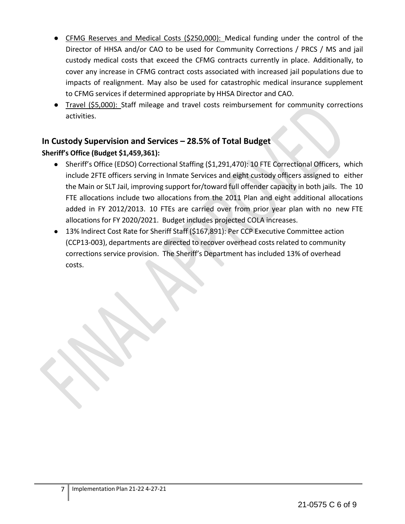- CFMG Reserves and Medical Costs (\$250,000): Medical funding under the control of the Director of HHSA and/or CAO to be used for Community Corrections / PRCS / MS and jail custody medical costs that exceed the CFMG contracts currently in place. Additionally, to cover any increase in CFMG contract costs associated with increased jail populations due to impacts of realignment. May also be used for catastrophic medical insurance supplement to CFMG services if determined appropriate by HHSA Director and CAO.
- Travel (\$5,000): Staff mileage and travel costs reimbursement for community corrections activities.

# **In Custody Supervision and Services – 28.5% of Total Budget**

## **Sheriff's Office (Budget \$1,459,361):**

- Sheriff's Office (EDSO) Correctional Staffing (\$1,291,470): 10 FTE Correctional Officers, which include 2FTE officers serving in Inmate Services and eight custody officers assigned to either the Main or SLT Jail, improving support for/toward full offender capacity in both jails. The 10 FTE allocations include two allocations from the 2011 Plan and eight additional allocations added in FY 2012/2013. 10 FTEs are carried over from prior year plan with no new FTE allocations for FY 2020/2021. Budget includes projected COLA increases.
- 13% Indirect Cost Rate for Sheriff Staff (\$167,891): Per CCP Executive Committee action (CCP13-003), departments are directed to recover overhead costsrelated to community corrections service provision. The Sheriff's Department has included 13% of overhead costs.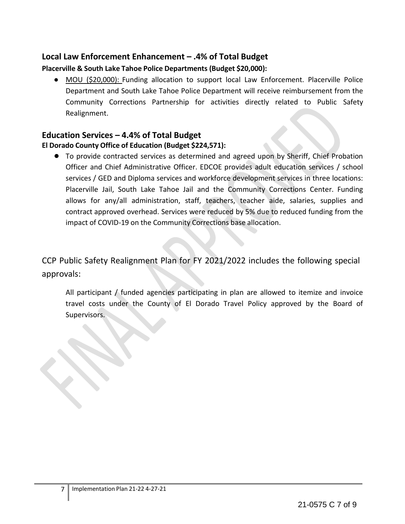# **Local Law Enforcement Enhancement – .4% of Total Budget**

### **Placerville & South Lake Tahoe Police Departments (Budget \$20,000):**

● MOU (\$20,000): Funding allocation to support local Law Enforcement. Placerville Police Department and South Lake Tahoe Police Department will receive reimbursement from the Community Corrections Partnership for activities directly related to Public Safety Realignment.

## **Education Services – 4.4% of Total Budget**

### **El Dorado County Office of Education (Budget \$224,571):**

● To provide contracted services as determined and agreed upon by Sheriff, Chief Probation Officer and Chief Administrative Officer. EDCOE provides adult education services / school services / GED and Diploma services and workforce development services in three locations: Placerville Jail, South Lake Tahoe Jail and the Community Corrections Center. Funding allows for any/all administration, staff, teachers, teacher aide, salaries, supplies and contract approved overhead. Services were reduced by 5% due to reduced funding from the impact of COVID-19 on the Community Corrections base allocation.

CCP Public Safety Realignment Plan for FY 2021/2022 includes the following special approvals:

All participant / funded agencies participating in plan are allowed to itemize and invoice travel costs under the County of El Dorado Travel Policy approved by the Board of Supervisors.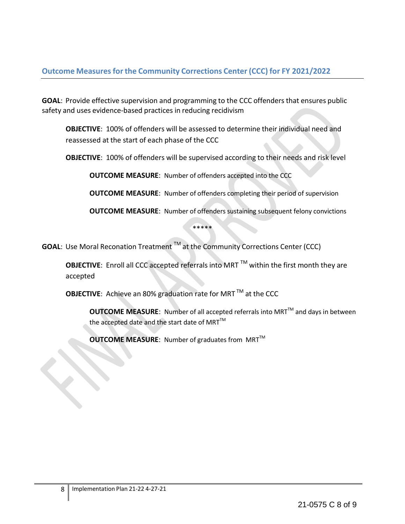**GOAL**: Provide effective supervision and programming to the CCC offenders that ensures public safety and uses evidence-based practices in reducing recidivism

**OBJECTIVE**: 100% of offenders will be assessed to determine their individual need and reassessed at the start of each phase of the CCC

**OBJECTIVE**: 100% of offenders will be supervised according to their needs and risk level

**OUTCOME MEASURE**: Number of offenders accepted into the CCC

**OUTCOME MEASURE**: Number of offenders completing their period of supervision

**OUTCOME MEASURE**: Number of offenders sustaining subsequent felony convictions

\*\*\*\*\*

**GOAL**: Use Moral Reconation Treatment TM at the Community Corrections Center (CCC)

**OBJECTIVE:** Enroll all CCC accepted referrals into MRT<sup>™</sup> within the first month they are accepted

**OBJECTIVE:** Achieve an 80% graduation rate for MRT<sup>™</sup> at the CCC

**OUTCOME MEASURE:** Number of all accepted referrals into MRT<sup>™</sup> and days in between the accepted date and the start date of MRT $^{TM}$ 

**OUTCOME MEASURE:** Number of graduates from MRT™